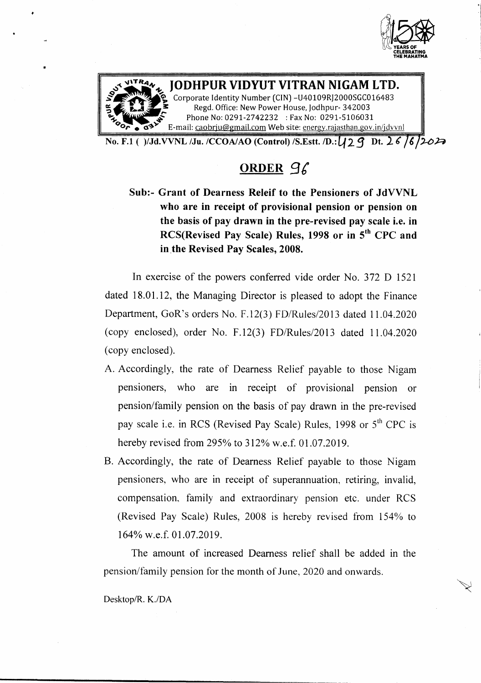



•

**IODHPUR VIDYUT VITRAN NIGAM LTD.** Corporate Identity Number (CIN) -U40109RJ2000SGC016483

Regd. Office: New Power House, Jodhpur- 342003 Phone No: 0291-2742232 : Fax No: 0291-5106031 E-mail: [caobrju@gmail.com](mailto:caobrju@gmail.com) Web site: energy.rajasthan.gov.in/jdvvnl

No. F.1 ( )/Jd.VVNL /Ju. /CCOAIAO (Control) /S.Estt. *ID.:*421 Dt. 26 *I~/'-DR*

# ORDER 96

Sub:- Grant of Dearness Releif to the Pensioners of JdVVNL who are in receipt of provisional pension or pension on the basis of pay drawn in the pre-revised pay scale i.e. in RCS(Revised Pay Scale) Rules, 1998 or in 5<sup>th</sup> CPC and in the Revised Pay Scales, 2008.

In exercise of the powers conferred vide order No. 372 D 1521 dated 18.01.12, the Managing Director is pleased to adopt the Finance Department, GoR's orders No. F.12(3) *FD/Rules/2013* dated 11.04.2020 (copy enclosed), order No. F.12(3) *FD/Rules/2013* dated 11.04.2020 (copy enclosed).

- A. Accordingly, the rate of Dearness Relief payable to those Nigam pensioners, who are in receipt of provisional pension or pension/family pension on the basis of pay drawn in the pre-revised pay scale i.e. in RCS (Revised Pay Scale) Rules, 1998 or 5<sup>th</sup> CPC is hereby revised from 295% to 312% w.e.f. 01.07.2019.
- B. Accordingly, the rate of Dearness Relief payable to those Nigam pensioners, who are in receipt of superannuation, retiring, invalid, compensation, family and extraordinary pension etc. under RCS (Revised Pay Scale) Rules, 2008 is hereby revised from 154% to 164% w.e.f. 01.07.2019.

The amount of increased Dearness relief shall be added in the pension/family pension for the month of June, 2020 and onwards.

Oesktop/R. *K.lDA*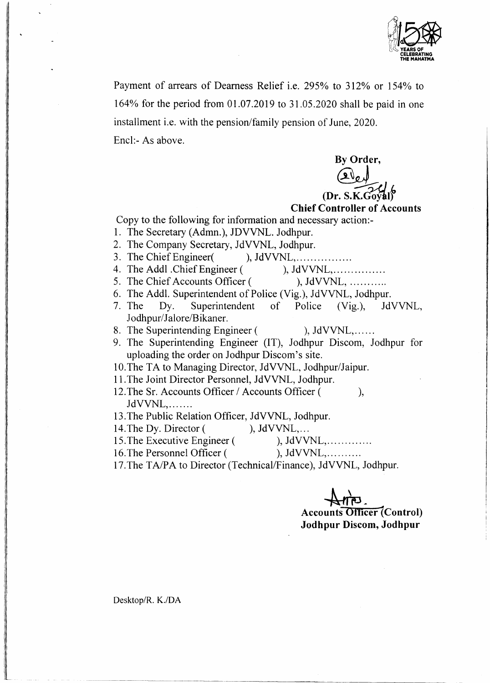

Payment of arrears of Dearness Relief i.e. 295% to 312% or 154% to 164% for the period from 01.07.2019 to 31.05.2020 shall be paid in one installment i.e. with the pension/family pension of June, 2020. Encl:- As above.

**By** Order, *~Jk* **(Dr. S.K.GOfltl)**

## **Chief Controller of Accounts**

Copy to the following for information and necessary action:-

- 1. The Secretary (Admn.), JDVVNL. Jodhpur.
- 2. The Company Secretary, JdVVNL, Jodhpur.
- 3. The Chief Engineer  $\qquad \qquad$ ), JdVVNL, ... ... ... ...
- 4. The Addl .Chief Engineer ( ), JdVVNL, ... ... ... ...
- 5. The Chief Accounts Officer ( ), JdVVNL, ...........
- 6. The Addl. Superintendent of Police (Vig.), JdVVNL, Jodhpur.
- 7. The Dy. Superintendent of Police (Vig.), JdVVNL, Jodhpur/Jalore/Bikaner.
- 8. The Superintending Engineer ( ), JdVVNL,......
- 9. The Superintending Engineer (IT), Jodhpur Discom, Jodhpur for uploading the order on Jodhpur Discom's site.

10.The TA to Managing Director, JdVVNL, Jodhpur/Jaipur.

- 11.The Joint Director Personnel, JdVVNL, Jodhpur.
- 12.The Sr. Accounts Officer *I* Accounts Officer ( ), JdVVNL, ... .....
- 13.The Public Relation Officer, JdVVNL, Jodhpur.
- 14. The Dy. Director ( ), JdVVNL,...
- 15. The Executive Engineer ( ), JdVVNL,..............
- 16. The Personnel Officer ( ), JdVVNL, ... ... ...
	-
- 17.The *TAlPA* to Director (Technical/Finance), JdVVNL, Jodhpur.

 $\rightarrow$ 

**Accounts Officer** (Contro **Jodhpur Discom, Jodhpur**

Desktop/R. *K.lDA*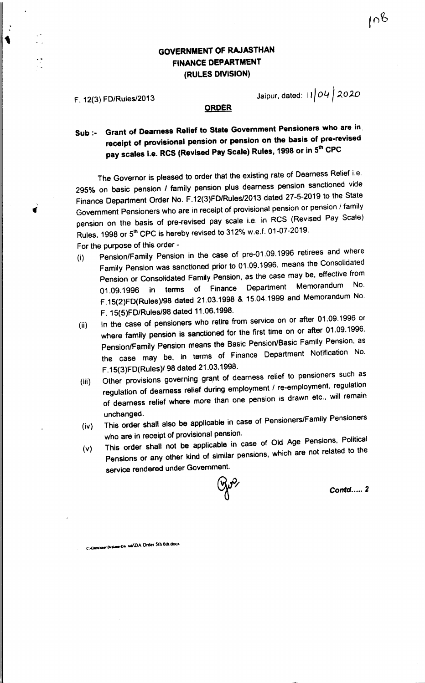# GOVERNMENT OF RAJASTHAN FINANCE DEPARTMENT (RULES DIVISION)

F. 12(3} FD/Rulesl2013 Jalpur, dated: <sup>i</sup> *'/04 , :l.O:2.0*

 $108$ 

### ORDER

# Sub :- Grant of Dearness Relief to State Government Pensioners who are in receipt of provisional pension or pension on the basis of pre-revised rescription is a RCS (Revised Pay Scale) Rules, 1998 or in 5<sup>th</sup> CPC

The Governor is pleased to order that the existing rate of Dearness Relief i.e. 2950/0 on basic pension *I* family pension plus dearness pension sanctioned vide Finance Department Order No. F.12(3)FD/Rules/2013 dated 27-5-2019 to the State Government Pensioners who are in receipt of provisional pension or pension *I* family pension on the basis of pre-revised pay scale i.e. in RCS (Revised Pay Scale) Rules. 1998 or 5<sup>th</sup> CPC is hereby revised to 312% w.e.f. 01-07-2019.

For the purpose of this order-

- (i) Pension/Family Pension in the case of pre-01.09.1996 retirees and where Family Pension was sanctioned prior to 01.09.1996, means the Consolidated Pension or Consolidated Family Pension. as the case may be. effective from 01.09.1996 in terms of Finance Department Memorandum No. F.15(2)FD(Rules)/98 dated 21.03.1998 & 15.04.1999 and Memorandum No. F. 15(5)FDJRules/98 dated 11.06.1998.
- (ii) In the case of pensioners who retire from service on or after 01.09.1996 or where family pension is sanctioned for the first time on or after 01.09.1996. Pension/Family Pension means the Basic Pension/Basic Family Pension. as the case may be, in terms of Finance Department Notification No. F.15(3)FD(Rules)/98 dated 21.03.1998.
- (iii) Other provisions governing grant of dearness relief to pensioners such as regulation of deamess relief during employment *I* re-employment. regulation of dearness relief where more than one pension is drawn etc.. will remain unchanged.
- (iv) This order shall also be applicable in case of Pensioners/Family Pensioners who are in receipt of provisional pension.
- (v) This order shall not be applicable in case of Old Age PensionS, Political Pensions or any other kind of similar pensions, which are not related to the service rendered under Government.

*Contd .•... 2*

Collisemmer Desktow-DA ask DA Order 5th 6th.dock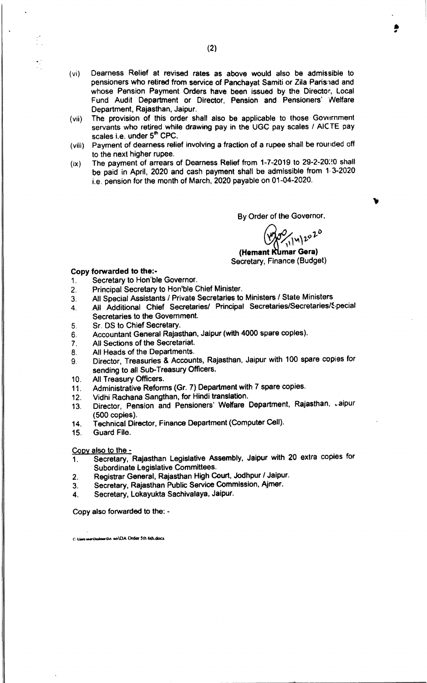- (vi) Dearness Relief at revised rates as above would also be admissible to pensioners who retired from service of Panchayat Samiti or Zila Parishad and whose Pension Payment Orders have been issued by the Director, Local Fund Audit Department or Director. Pension and Pensioners' 'Welfare Department, Rajasthan, Jaipur.
- (vii) The provision of this order shall also be applicable to those Govurnment servants who retired while drawing pay in the UGC pay scales / AICTE pay scales i.e. under 5<sup>m</sup> CPC.
- (viii) Payment of dearness relief involving a fraction of a rupee shall be rounded off to the next higher rupee.
- $(ix)$  The payment of arrears of Dearness Relief from 1-7-2019 to 29-2-20:20 shall be paid in April, 2020 and cash payment shall be admissible from 1.3-2020 i.e. pension for the month of March, 2020 payable on 01-04-2020.

By Order of the Governor,

*~""'J..Ql-O*

•*#/I*

(Hemant Kumar Gera) Secretary, Finance (Budget)

## Copy forwarded to the:-

- 1. Secretary to Hon'ble Governor.
- 2. Principal Secretary to Hon'ble Chief Minister.
- 3. All Special Assistants *I* Private Secretaries to Ministers / State Ministers
- 4. All Additional Chief Secretaries/ Principal Secretaries/Secretaries/Special Secretaries to the Government.
- 5. Sr. OS to Chief Secretary.
- 6. Accountant General Rajasthan, Jaipur (with 4000 spare copies).
- 7. All Sections of the Secretariat.
- 8. All Heads of the Departments.
- 9. Director, Treasuries & Accounts, Rajasthan, Jaipur with 100 spare copies for sending to all Sub-Treasury Officers.
- 10. All Treasury Officers.
- 11. Administrative Reforms (Gr. 7) Department with 7 spare copies.
- 12. Vidhi Rachana Sangthan, for Hindi translation.
- 13. Director, Pension and Pensioners' Welfare Department, Rajasthan, Jaipur (500 copies).
- 14. Technical Director, Finance Department (Computer Ceil).
- 15. Guard File.

Copy also to the -

- 1. Secretary, Rajasthan Legislative Assembly. Jaipur with 20 extra copies for Subordinate legislative Committees.
- 2. Registrar General. Rajasthan High Court, Jodhpur *I* Jaipur.
- 3. Secretary, Rajasthan Public Service Commission, Ajmer.
- 4. Secretary. Lokayukta Sachivalays, Jaipur.

Copy also forwarded to the: ..

C: Users wer Deskton DA 6th DA Order 5th 6th.docx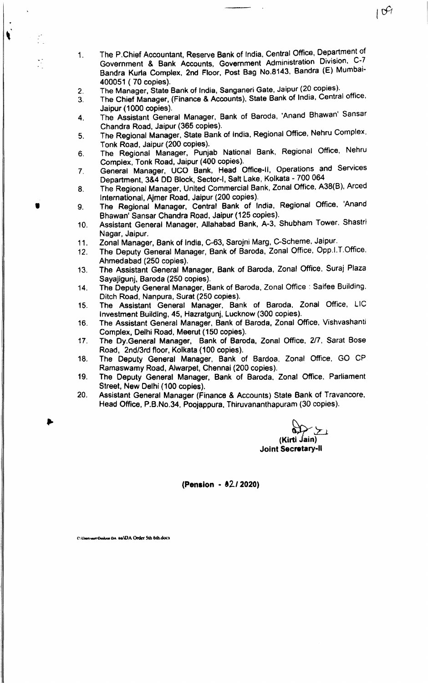1. The P.Chief Accountant, Reserve Bank of India. Central Office, Department of Government & Bank Accounts, Government Administration Division, C-7 Bandra Kurla Complex, 2nd Floor, Post Bag No.8143, Bandra (E) Mumbai-400051 ( 70 copies).

 $\mathcal{G}$ 

- 2. The Manager, State Bank of India, Sanganeri Gate, Jaipur (20 copies).
- 3. The Chief Manager, (Finance & Accounts), State Bank of India. Central office, Jaipur (1000 copies).
- 4. The Assistant General Manager, Bank of Baroda. 'Anand Shawan' Sansar Chandra Road, Jaipur (365 copies).
- 5. The Regional Manager. State Bank of India, Regional Office, Nehru Complex, Tonk Road, Jaipur (200 copies).
- 6. The Regional Manager, Punjab National Bank, Regional Office. Nehru Complex, Tonk Road, Jaipur (400 copies).
- 7. General Manager, UCO Bank, Head Office· II, Operations and Services Department, 3&4 DO Block, Sector-I, Salt Lake, Kolkata - 700 064
- 8. The Regional Manager, United Commercial Bank, Zonal Office, A38(B), Arced International, Ajmer Road, Jaipur (200 copies) .
- $\bullet$  9. The Regional Manager. Central Bank of India, Regional Office. 'Anand Shawan' Sansar Chandra Road, Jaipur (125 copies).
	- 10. Assistant General Manager, Allahabad Bank, A-3. Shubham Tower, Shastri Nagar, Jaipur.
	- 11. Zonal Manager, Bank of India, C-63, Sarojni Marg, C-Scheme, Jaipur.
	- 12. The Deputy General Manager, Bank of Baroda, Zonal Office, Opp.I.T.Office. Ahmedabad (250 copies).
	- 13. The Assistant General Manager, Bank of Baroda, Zonal Office, Suraj Plaza Sayajigunj, Baroda (250 copies).
	- 14. The Deputy General Manager. Bank of Baroda. Zonal Office: Saifee Building. Ditch Road, Nanpura, Surat (250 copies).
	- 15. The Assistant General Manager, Bank of Baroda, Zonal Office, LIC Investment Building, 45, Hazratgunj, Lucknow (300 copies).
	- 16. The Assistant General Manager, Bank of Baroda, Zonal Office, Vishvashanti Complex, Delhi Road, Meerut (150 copies).
	- 17. The Dy.General Manager, Bank of Baroda, Zonal Office, *217,* Sarat Bose Road, 2nd/3rd floor, Kolkata (100 copies),
	- 18. The Deputy General Manager, Bank of 8ardoa. Zonal Office, GO CP Ramaswamy Road, Alwarpet, Chennai (200 copies).
	- 19. The Deputy General Manager, Bank of Baroda. Zonal Office. Parliament Street, New Delhi (100 copies).
	- 20. Assistant General Manager (Finance & Accounts) State Bank of Travancore. Head Office, P.B.No.34, Poojappura. Thiruvananthapuram (30 copies).

رس کردہ<br>(Kirti Jain)<br>Joint Secretary-II

(Pension • *'21 2020)*

 $\mathbf{v}$ 

Citizen user Deshoo DA 6th DA Order 5th 6th doct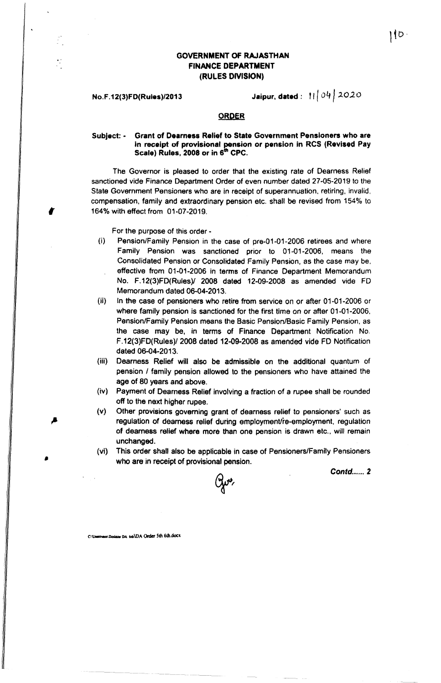## GOVERNMENT OF RAJASTHAN FINANCE DEPARTMENT (RULES DIVISION)

No.F.12(3)FD(Rules)/2013 **Jaipur. dated:** " | | 04 | 2020

#### ORDER

### Subject: - Grant of Dearness Relief to State Government Pensioners who are in receipt of provisional pension or pension in RCS (Revised Pay Scale) Rules, 2008 or in 6<sup>th</sup> CPC.

The Governor is pleased to order that the existing rate of Dearness Relief sanctioned vide Finance Department Order of even number dated 27-05-2019 to the State Government Pensioners who are in receipt of superannuation, retiring. invalid, compensation, family and extraordinary pension etc. shall be revised from 154% to , 1640/0 with effect from 01·07·2019.

For the purpose of this order -

- (i) Pension/Family Pension in the case of pre-01-01-2006 retirees and where Family Pension was sanctioned prior to 01-01·2006, means the Consolidated Pension or Consolidated Family Pension, as the case may be, effective from 01-01-2006 in terms of Finance Department Memorandum No. F.12(3)FD{Rules)/ 2008 dated 12-09-2008 as amended vide FD Memorandum dated 06-04-2013.
- (ii) In the case of pensioners who retire from service on or after 01-01-2006 or where family pension is sanctioned for the first time on or after 01·01·2006, Pension/Family Pension means the Basic Pension/Basic Family Pension, as the case may be, in terms of Finance Department Notification No. F.12(3)FD(Rules)/ 2008 dated 12-09-2008 as amended vide FD Notification dated 06-04-2013.
- (iii) Dearness Relief will also be admissible on the additional quantum of pension *I* family pension allowed to the pensioners who have attained the age of 80 years and above.
- (tv) Payment of Dearness Relief involving a fraction of a rupee shall be rounded off to the next higher rupee.
- (v) Other provisions goveming grant of dearness relief to pensioners' such as regulation of dearness relief during employment/re-employment, regulation of dearness relief where more than one pension is drawn etc., will remain unchanged.
- (vi) This order shall also be applicable in case of Pensioners/Family Pensioners who are in receipt of provisional pension.

*Contd 2*



C: UnervaccDesiace DA 6th UDA Order 5th 6th.docx

•

l ∤b ∙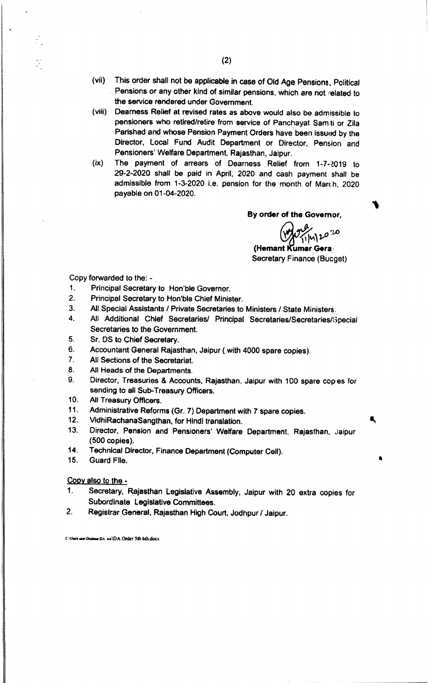- (vii) This order shall not be applicable in case of Old Age Pensions, Political Pensions or any other kind of similar pensions, which are not related to the service rendered under Government.
- (viii) Dearness Relief at revised rates as above would also be admissible to pensioners who retired/retire from service of Panchayat Samiti or Zila Parishad and whose Pension Payment Orders have been issued by the Director. Local Fund Audit Department or Director, Pension and Pensioners' Welfare Department. Rajasthan, Jaipur.
- (ix) The payment of arrears of Dearness Relief from 1-7-2019 to 29-2-2020 shall be paid in April, 2020 and cash payment shall be admissible from 1-3-2020 i.e. pension for the month of March, 2020 payable on 01-04-2020.

By order of the Governor,

*~~'V'.).O*

a,

(Hemant Kumar Gera. Secretary Finance (Bueget)

Copy forwarded to the: -

- 1. Principal Secretary to Hon'ble Governor.
- 2. Principal Secretary to Hon'ble Chief Minister.
- 3. All Special Assistants *I* Private Secretaries to Ministers *I* State Ministers.
- 4. All Additional Chief Secretaries/ Principal Secretaries/Secretaries/Special Secretaries to the Government.
- 5. Sr. OS to Chief Secretary.
- 6. Accountant General Rajasthan, Jaipur ( with 4000 spare copies).
- 7. All Sections of the Secretariat.
- 8. All Heads of the Departments.
- 9. Director, Treasuries & Accounts, Rajasthan, Jaipur with 100 spare copes for sending to all Sub-Treasury Officers.
- 10. All Treasury Officers.
- 11. Administrative Reforms (Gr. 7) Department with 7 spare copies.
- 12. VidhiRachanaSangthan, for Hindi translation.
- 13. Director, Pension and Pensioners' Welfare Department, Rajasthan, Jaipur (500 copies),
- 14. Technical Director, Finance Department (Computer Ceil).
- 15. Guard File. •

Copy also to the -

- 1. Secretary. Rajasthan Legislative Assembly, Jaipur with 20 extra copies for Subordinate Legislative Committees.
- 2. Registrar General, Rajasthan High Court, Jodhpur *I* Jaipur.

C:\Users wer Desiano DA 6th\DA Order 5th 6th.docx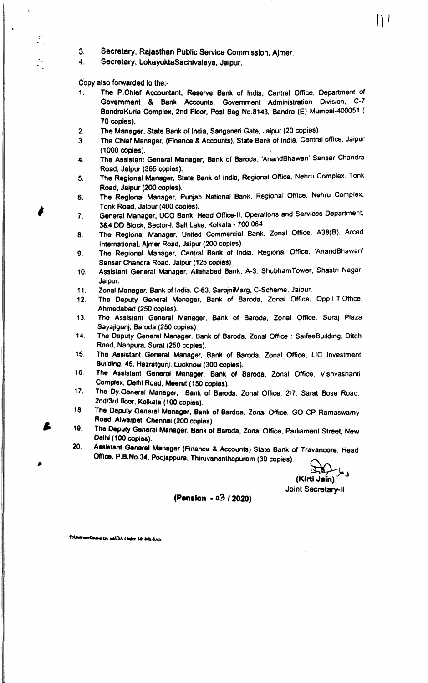- 3. Secretary, Rajasthan Public Service Commission. Ajmer.
- 4. Secretary, LokayuktaSachivalaya, Jaipur.

Copy also forwarded to the:•.

- 1. The P,Chlef Accountant. Reserve Bank of India. Central Office, Department of Government & Bank Accounts, Government Administration Division, C-7 8andraKurta Complex, 2nd Floor. Post Bag No.8143, Bandra (E) Mumbai-400051 ( 70 copies),
- The Manager, State Bank of India. Sanganeri Gate, Jaipur (20 copies). 2.
- The Chief Manager, (Finance & Accounts). State Bank of India. Central office. Jaipur (1000 copies). 3.
- The Assistant General Manager, Bank of Baroda. 'AnandBhawan' Sansar Chandra Road. Jaipur (365 copies). 4.
- The Regiona' Manager. State Bank of India, Regional Office. Nehru Complex. Tonk Road, Jalpur (200 copies). 5.
- The Regional Manager, Punjab National Bank, Regional Office. Nehru Complex. Tonk Road, Jalpur (400 copies). 6.
- General Manager. UCO Bank, Head Office-II. Operations and Services Department. 3&4 DD Block, Sector-I, Salt Lake, Kolkata - 700 064 7.
- The Regional Manager. United Commercial Bank. Zonal Office, A38{B}. Arced International, Ajmer Road, Jaipur (200 copies). 8.
- The Regional Manager, Central Bank of India, Regional Office. 'AnandBhawan' Sansar Chandra Road. Jaipur (125 copies). 9.
- 10. Assistant General Manager, Allahabad Bank, A-3, ShubhamTower, Shastn Nagar. Jalpur.
- 11. Zonal Manager, Bank of India, C-63. SarojniMarg. C-Scheme. Jaipur,
- 12. The Deputy General Manager, Bank of Baroda, Zonal Office. Opp.I.T.Office. Ahmedabad (250 copies).
- 13. The Assistant General Manager, Bank of Baroda. Zonal Office. Suraj Plaza Sayajigunj, Baroda (250 copies).
- 14. The Deputy General Manager. Bank of Baroda, Zonal Office: SaifeeBuilding. Ditch Road, Nanpura, Sural (250 copies).
- 15. The Assistant General Manager. Bank of Baroda, Zonal Office. LlC Investment Budd'ng. 46, Hazratgunj, Lucknow (300 copies).
- 16. The Assistant General Manager, Bank of Baroda, Zonal Office, Vishvashanti Complex, Deihl Road, Meerut (150 copies).
- 17. The Oy.General Manager, Bank of Baroda. Zonal Office. *2/7.* Sarat Bose Road, 2nd/3rd floor, Kolkata (100 copies).
- 18. The Deputy Genefal Manager, Bank <sup>0</sup>' 8ardoa, Zonal Office. GO CP Ramaswamy Road, Alwarpet, Chennai (200 copies).
- 19. The Deputy General Manager, Bank of Baroda. Zonal Office, Parliament Street. New Delhi (100 copies).
- 20. Assistant General Manager (Finance & Accounts) State Bank of Travancore. Head Office. P.B.No.34, Poojappura. Thiruvananthapuram (30 copies).

(Kirti Jain)

 $\vert$   $\vert$   $\vert$ 

Joint Secretary-II

## (Pen.lon • *03/2020)*

workhouse DA sailDA Ceder 5th 6th divis

Ł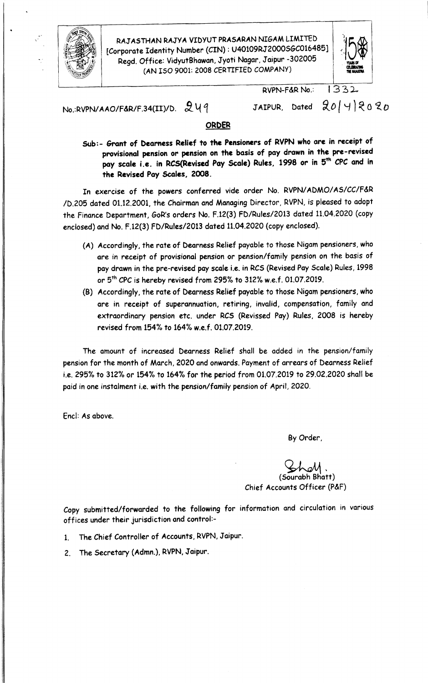

RAJASTHAN RAJYA VIDYUT PRASARAN NIGAM LIMITED [Corporate Identity Number (CIN) : U40109RJ2000SGC016485] Regd. Office: VidyutBhawan, Jyoti Nagar, Jaipur -302005  $\sim$   $\frac{1}{2}$  (AN ISO 9001: 2008 CERTIFIED COMPANY)  $\sim$ 



RVPN-F&R No.: 1332

No.:RVPN/AAO/F&R/F.34(II)/D.  $249$ 

JAIPUR, Dated  $20/4$   $20$ 

## ORDER

Sub:- Grant of Dearness Relief to the Pensioners of RVPN who are in receipt of provisional pension or pension on the basis of pay drawn in the pre-revised pay scale i.e. in RCS(Revised Pay Scale) Rules, 1998 or in 5<sup>th</sup> CPC and in the Revised Pay Scales, 2008.

In exercise of the powers conferred vide order No. RVPN/ADMO/AS/CC/F&R /D.205 dated 01.12.2001, the Chairman and Managing Director, RVPN, is pleased to adopt the Finance Department, GoR's orders No. F.12(3) FD/Rules/2013 dated 11.04.2020 (copy enclosed) and No. F.12(3) FD/Rules/2013 dated 11.04.2020 (copy enclosed).

- (A) Accordingly, the rate of Dearness Relief payable to those Nigam pensioners, who are in receipt of provisional pension or pension/family pension on the basis of pay drawn in the pre-revised pay scale i.e. in RCS (Revised Pay Scale) Rules, 1998 or 5<sup>th</sup> CPC is hereby revised from 295% to 312% w.e.f. 01.07.2019
- (B) Accordingly, the rate of Dearness Relief payable to those Nigam pensioners. who are in receipt of superannuation, retiring, invalid, compensation, family and extraordinary pension etc. under RCS (Revissed Pay) Rules, 2008 is hereby revised from 154% to 164% w.e.f. 01.07.2019.

The amount of increased Dearness Relief shall be added in the pension/family pension for the month of March, 2020 and onwards. Payment of arrears of Dearness Relief i.e. 295% to 312% or 154% to 164% for the period from 01.07.2019 to 29.02.2020 shall be paid in one instalment i.e. with the pension/family pension of April, 2020.

Ene!: As above.

By Order,

~, (Sourabh Bhatt) Chief Accounts Officer (P&F)

Copy submitted/forwarded to the following for information and circulation in various offices under their jurisdiction and control:-

- 1. The Chief Controller of Accounts, RVPN, Jaipur.
- 2. The Secretary (Admn.), RVPN, Jaipur.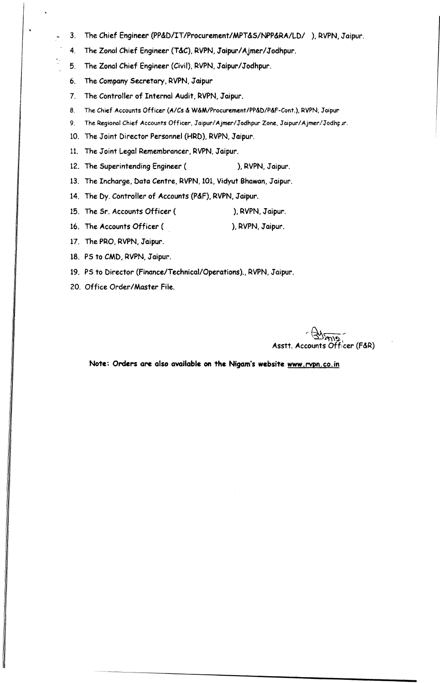- 3. The Chief Engineer (PP&D/IT/Procurement/MPT&S/NPP&RA/LD/ ), RVPN, Jaipur.
- 4. The Zonal Chief Engineer (T&C), RVPN, Jaipur/Ajmer/Jodhpur.
- 5. The Zonal Chief Engineer (Civil), RVPN, Jaipur/Jodhpur.
- 6. The Company Secretary, RVPN, Jaipur

 $\ddot{\phantom{a}}$ 

- 7. The Controller of Internal Audit, RVPN, Jaipur.
- 8. The Chief Accounts Officer (A/Cs & W&M/Procurement/PP&D/P&F-Cont.), RVPN, Jaipur
- 9. The Regional Chief Accounts Officer, Jaipur/Ajmer/Jodhpur Zone, Jaipur/Ajmer/Jodhpur.
- 10. The Joint Director Personnel (HRD), RVPN, Jaipur.
- 11. The Joint Legal Remembrancer, RVPN, Jaipur.
- 12. The Superintending Engineer (
Here is no behavior in North States 10, RVPN, Jaipur.
- 13. The Incharge, Data *Centre,* RVPN, 101, Vidyut Bnowan, Jaipur.
- 14. The Dy. Controller of Accounts (P&F), RVPN, Jaipur.
- 15. The Sr. Accounts Officer ( ), RVPN, Jaipur.
- 16. The Accounts Officer ( ), RVPN, Jaipur.
- 17. The PRO, RVPN, Jaipur.
- 18. PS to CMD, RVPN, Jaipur.
- 19. PS to Director (Finance/Technical/Operations)., RVPN, Jaipur.
- 20. Office Order/Master File.

*r ~""'\~~* Asstt. Accounts Officer (F&R)

Note: Orders are also available on the Nigam's website [www.rvpn.co.in](http://www.rvpn.co.in)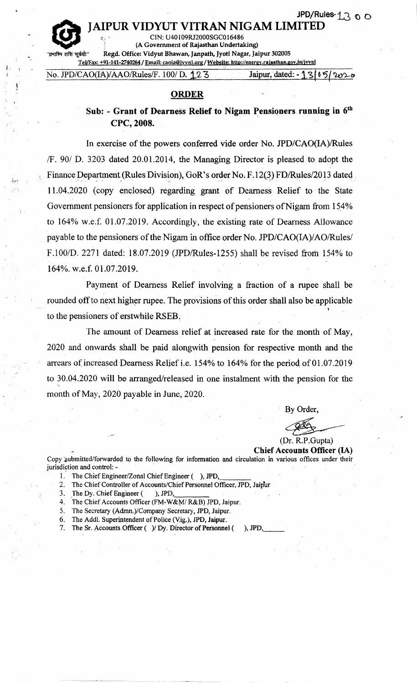# IAIPUR VIDYUT VITRAN NIGAM LIMI'

CIN: U40109RJ2000SGCOJ6486 , (A Government of Rajasthan Undertaking)

Regd. Office: Vidyut Bhawan, Janpath, Jyoti Nagar, Jaipur 302005

Ij',j q

*J.*

TeWax: +91-141-2740264 / Email: [caoia@ivvn1.org/](mailto:caoia@ivvn1.org/) Website: <http://energy.rajastban.gov.in/jvvnl> No. *JPD/CAO(H\)/AAOlRules/F.* 100/ D,.12-"3 Jaipur, 'dated: - 1'.S *<sup>16</sup>* ?(~~

### **ORDER**

# Sub: - Grant of Dearness Relief to Nigam Pensioners running in  $6<sup>th</sup>$ CPC, 2008.

In exercise of the powers conferred vide order No. *JPD/CAO(IA)lRules IF.* 90/ D. 3203 dated 20.01.2014, the Managing Director is pleased to adopt the Finance Department (Rules Division), GoR's order No. F.12(3) FD/Rules/2013 dated *.* 11.04.2020 (copy enclosed) regarding grant of Dearness Relief to the State Government pensioners for application in respect of pensioners of Nigam from 154% to 164% w.e.f. 01.07.2019. Accordingly, the existing rate of Dearness Allowance , , payable to the pensioners of the Nigam in office order No. *JPD/CAO(IA)/AOlRulesl* F.100/D. 2271 dated: 18.07.2019 (JPD/Rules-1255) shall be revised from 154% to 164%. w.e.f. 01.07.2019.

Payment of Dearness Relief involving a fraction of a rupee shall be rounded off to next higher rupee. The provisions of this order shall also be applicable to the pensioners of erstwhile RSEB.

The amount of Dearness relief at increased rate for the month of May, 2020 and onwards shall be paid alongwith pension for respective month and the arrears of increased Dearness Relief i.e. 154% to 164% for the period of 01.07.2019 to 30.04.2020 will be arranged/released in one instalment with the pension for the month of May, 2020 payable in June, 2020.

By Order,

(Dr. R.P .Gupta)

Chief Accounts Officer (IA) Copy submitted/forwarded to the following for information and circulation in various offices under their jurisdiction and control: -

- 1. The Chief Engineer/Zonal Chief Engineer ( ), JPD, \_
- 2. The Chief Controller of Accounts/Chief Personnel Officer, JPD, Jaipur

3. The Dy. Chief Engineer ( ), JPD,

- 4. The Chief Accounts Officer (FM-W&M/ R&B) JPO, Jaipur.
- 5. The Secretary (Admn.)/Company Secretary, JPO, Jaipur.
- 6. The Addl. Superintendent of Police (Vig.), JPO, Jaipur.
- 7. The Sr. Accounts Officer ( )/ Dy. Director of Personnel ( ), JPD,